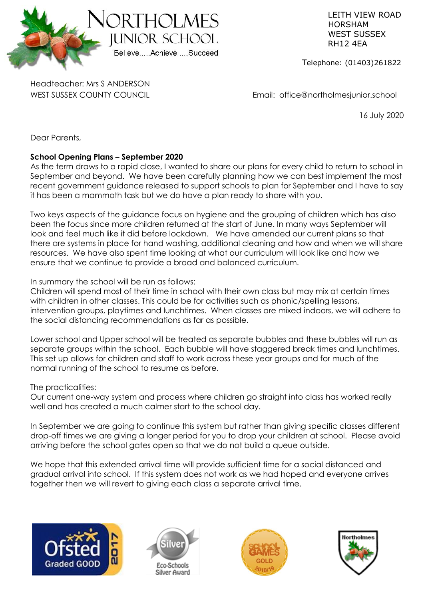

 LEITH VIEW ROAD HORSHAM RH12 4EA

Telephone: (01403)261822

Headteacher: Mrs S ANDERSON

WEST SUSSEX COUNTY COUNCIL **Email:** office@northolmesjunior.school

16 July 2020

Dear Parents,

# **School Opening Plans – September 2020**

As the term draws to a rapid close, I wanted to share our plans for every child to return to school in September and beyond. We have been carefully planning how we can best implement the most recent government guidance released to support schools to plan for September and I have to say it has been a mammoth task but we do have a plan ready to share with you.

Two keys aspects of the guidance focus on hygiene and the grouping of children which has also been the focus since more children returned at the start of June. In many ways September will look and feel much like it did before lockdown. We have amended our current plans so that there are systems in place for hand washing, additional cleaning and how and when we will share resources. We have also spent time looking at what our curriculum will look like and how we ensure that we continue to provide a broad and balanced curriculum.

In summary the school will be run as follows:

Children will spend most of their time in school with their own class but may mix at certain times with children in other classes. This could be for activities such as phonic/spelling lessons, intervention groups, playtimes and lunchtimes. When classes are mixed indoors, we will adhere to the social distancing recommendations as far as possible.

Lower school and Upper school will be treated as separate bubbles and these bubbles will run as separate groups within the school. Each bubble will have staggered break times and lunchtimes. This set up allows for children and staff to work across these year groups and for much of the normal running of the school to resume as before.

The practicalities:

Our current one-way system and process where children go straight into class has worked really well and has created a much calmer start to the school day.

In September we are going to continue this system but rather than giving specific classes different drop-off times we are giving a longer period for you to drop your children at school. Please avoid arriving before the school gates open so that we do not build a queue outside.

We hope that this extended arrival time will provide sufficient time for a social distanced and gradual arrival into school. If this system does not work as we had hoped and everyone arrives together then we will revert to giving each class a separate arrival time.







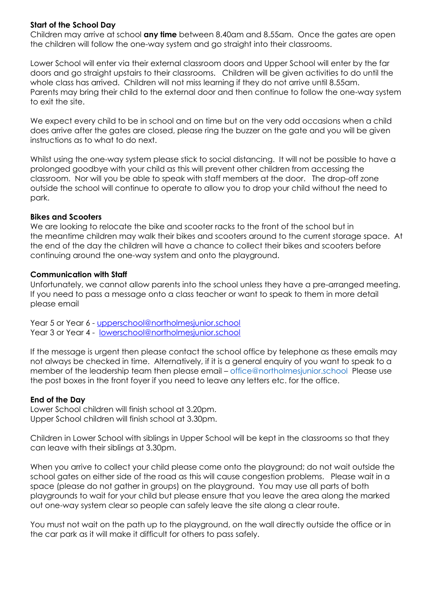## **Start of the School Day**

Children may arrive at school **any time** between 8.40am and 8.55am. Once the gates are open the children will follow the one-way system and go straight into their classrooms.

Lower School will enter via their external classroom doors and Upper School will enter by the far doors and go straight upstairs to their classrooms. Children will be given activities to do until the whole class has arrived. Children will not miss learning if they do not arrive until 8.55am. Parents may bring their child to the external door and then continue to follow the one-way system to exit the site.

We expect every child to be in school and on time but on the very odd occasions when a child does arrive after the gates are closed, please ring the buzzer on the gate and you will be given instructions as to what to do next.

Whilst using the one-way system please stick to social distancing. It will not be possible to have a prolonged goodbye with your child as this will prevent other children from accessing the classroom. Nor will you be able to speak with staff members at the door. The drop-off zone outside the school will continue to operate to allow you to drop your child without the need to park.

#### **Bikes and Scooters**

We are looking to relocate the bike and scooter racks to the front of the school but in the meantime children may walk their bikes and scooters around to the current storage space. At the end of the day the children will have a chance to collect their bikes and scooters before continuing around the one-way system and onto the playground.

#### **Communication with Staff**

Unfortunately, we cannot allow parents into the school unless they have a pre-arranged meeting. If you need to pass a message onto a class teacher or want to speak to them in more detail please email

Year 5 or Year 6 - upperschool@northolmesjunior.school Year 3 or Year 4 - [lowerschool@northolmesjunior.school](mailto:lowerschool@northolmesjunior.school)

If the message is urgent then please contact the school office by telephone as these emails may not always be checked in time. Alternatively, if it is a general enquiry of you want to speak to a member of the leadership team then please email – [office@northolmesjunior.school](mailto:office@northolmesjunior.school) Please use the post boxes in the front foyer if you need to leave any letters etc. for the office.

#### **End of the Day**

Lower School children will finish school at 3.20pm. Upper School children will finish school at 3.30pm.

Children in Lower School with siblings in Upper School will be kept in the classrooms so that they can leave with their siblings at 3.30pm.

When you arrive to collect your child please come onto the playground; do not wait outside the school gates on either side of the road as this will cause congestion problems. Please wait in a space (please do not gather in groups) on the playground. You may use all parts of both playgrounds to wait for your child but please ensure that you leave the area along the marked out one-way system clear so people can safely leave the site along a clear route.

You must not wait on the path up to the playground, on the wall directly outside the office or in the car park as it will make it difficult for others to pass safely.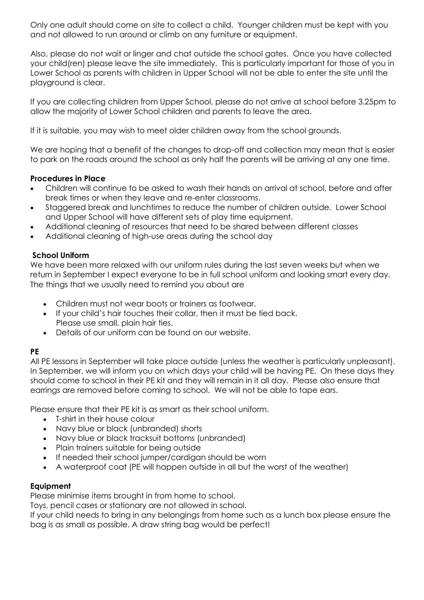Only one adult should come on site to collect a child. Younger children must be kept with you and not allowed to run around or climb on any furniture or equipment.

Also, please do not wait or linger and chat outside the school gates. Once you have collected your child(ren) please leave the site immediately. This is particularly important for those of you in Lower School as parents with children in Upper School will not be able to enter the site until the playground is clear.

If you are collecting children from Upper School, please do not arrive at school before 3.25pm to allow the majority of Lower School children and parents to leave the area.

If it is suitable, you may wish to meet older children away from the school grounds.

We are hoping that a benefit of the changes to drop-off and collection may mean that is easier to park on the roads around the school as only half the parents will be arriving at any one time.

## **Procedures in Place**

- Children will continue to be asked to wash their hands on arrival at school, before and after break times or when they leave and re-enter classrooms.
- Staggered break and lunchtimes to reduce the number of children outside. Lower School and Upper School will have different sets of play time equipment.
- Additional cleaning of resources that need to be shared between different classes
- Additional cleaning of high-use areas during the school day

# **School Uniform**

We have been more relaxed with our uniform rules during the last seven weeks but when we return in September I expect everyone to be in full school uniform and looking smart every day. The things that we usually need to remind you about are

- Children must not wear boots or trainers as footwear.
- If your child's hair touches their collar, then it must be tied back. Please use small, plain hair ties.
- Details of our uniform can be found on our website.

# **PE**

All PE lessons in September will take place outside (unless the weather is particularly unpleasant). In September, we will inform you on which days your child will be having PE. On these days they should come to school in their PE kit and they will remain in it all day. Please also ensure that earrings are removed before coming to school. We will not be able to tape ears.

Please ensure that their PE kit is as smart as their school uniform.

- T-shirt in their house colour
- Navy blue or black (unbranded) shorts
- Navy blue or black tracksuit bottoms (unbranded)
- Plain trainers suitable for being outside
- If needed their school jumper/cardigan should be worn
- A waterproof coat (PE will happen outside in all but the worst of the weather)

## **Equipment**

Please minimise items brought in from home to school.

Toys, pencil cases or stationary are not allowed in school.

If your child needs to bring in any belongings from home such as a lunch box please ensure the bag is as small as possible. A draw string bag would be perfect!